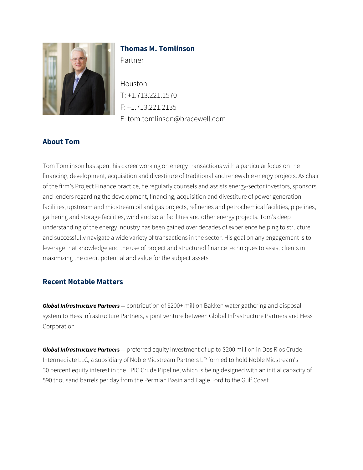

# **Thomas M. Tomlinson**

Partner

Houston T: +1.713.221.1570 F: +1.713.221.2135 E: tom.tomlinson@bracewell.com

# **About Tom**

Tom Tomlinson has spent his career working on energy transactions with a particular focus on the financing, development, acquisition and divestiture of traditional and renewable energy projects. As chair of the firm's Project Finance practice, he regularly counsels and assists energy-sector investors, sponsors and lenders regarding the development, financing, acquisition and divestiture of power generation facilities, upstream and midstream oil and gas projects, refineries and petrochemical facilities, pipelines, gathering and storage facilities, wind and solar facilities and other energy projects. Tom's deep understanding of the energy industry has been gained over decades of experience helping to structure and successfully navigate a wide variety of transactions in the sector. His goal on any engagement is to leverage that knowledge and the use of project and structured finance techniques to assist clients in maximizing the credit potential and value for the subject assets.

## **Recent Notable Matters**

*Global Infrastructure Partners —* contribution of \$200+ million Bakken water gathering and disposal system to Hess Infrastructure Partners, a joint venture between Global Infrastructure Partners and Hess Corporation

*Global Infrastructure Partners —* preferred equity investment of up to \$200 million in Dos Rios Crude Intermediate LLC, a subsidiary of Noble Midstream Partners LP formed to hold Noble Midstream's 30 percent equity interest in the EPIC Crude Pipeline, which is being designed with an initial capacity of 590 thousand barrels per day from the Permian Basin and Eagle Ford to the Gulf Coast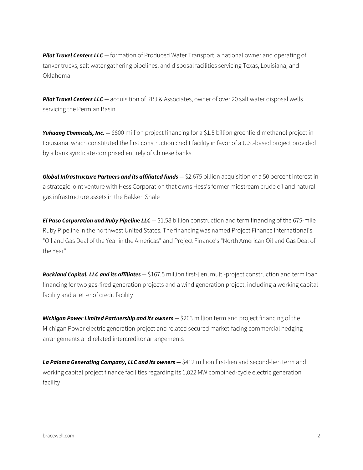**Pilot Travel Centers LLC** — formation of Produced Water Transport, a national owner and operating of tanker trucks, salt water gathering pipelines, and disposal facilities servicing Texas, Louisiana, and Oklahoma

**Pilot Travel Centers LLC** — acquisition of RBJ & Associates, owner of over 20 salt water disposal wells servicing the Permian Basin

*Yuhuang Chemicals, Inc. —* \$800 million project financing for a \$1.5 billion greenfield methanol project in Louisiana, which constituted the first construction credit facility in favor of a U.S.-based project provided by a bank syndicate comprised entirely of Chinese banks

*Global Infrastructure Partners and its affiliated funds – \$2.675 billion acquisition of a 50 percent interest in* a strategic joint venture with Hess Corporation that owns Hess's former midstream crude oil and natural gas infrastructure assets in the Bakken Shale

*El Paso Corporation and Ruby Pipeline LLC —* \$1.58 billion construction and term financing of the 675-mile Ruby Pipeline in the northwest United States. The financing was named Project Finance International's "Oil and Gas Deal of the Year in the Americas" and Project Finance's "North American Oil and Gas Deal of the Year"

*Rockland Capital, LLC and its affiliates —* \$167.5 million first-lien, multi-project construction and term loan financing for two gas-fired generation projects and a wind generation project, including a working capital facility and a letter of credit facility

*Michigan Power Limited Partnership and its owners*  $-$  \$263 million term and project financing of the Michigan Power electric generation project and related secured market-facing commercial hedging arrangements and related intercreditor arrangements

La Paloma Generating Company, LLC and its owners - \$412 million first-lien and second-lien term and working capital project finance facilities regarding its 1,022 MW combined-cycle electric generation facility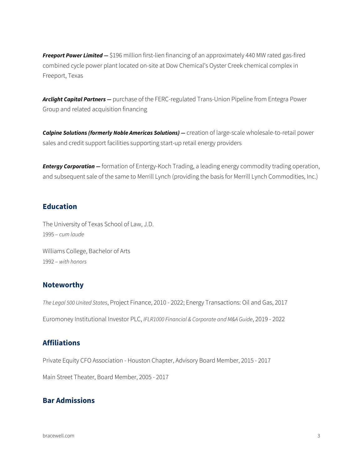*Freeport Power Limited —* \$196 million first-lien financing of an approximately 440 MW rated gas-fired combined cycle power plant located on-site at Dow Chemical's Oyster Creek chemical complex in Freeport, Texas

*Arclight Capital Partners —* purchase of the FERC-regulated Trans-Union Pipeline from Entegra Power Group and related acquisition financing

**Calpine Solutions (formerly Noble Americas Solutions)** — creation of large-scale wholesale-to-retail power sales and credit support facilities supporting start-up retail energy providers

*Entergy Corporation —* formation of Entergy-Koch Trading, a leading energy commodity trading operation, and subsequent sale of the same to Merrill Lynch (providing the basis for Merrill Lynch Commodities, Inc.)

### **Education**

The University of Texas School of Law, J.D. 1995 – *cum laude*

Williams College, Bachelor of Arts 1992 – *with honors*

### **Noteworthy**

*The Legal 500 United States*, Project Finance, 2010 - 2022; Energy Transactions: Oil and Gas, 2017 Euromoney Institutional Investor PLC, *IFLR1000 Financial & Corporate and M&A Guide*, 2019 - 2022

## **Affiliations**

Private Equity CFO Association - Houston Chapter, Advisory Board Member, 2015 - 2017

Main Street Theater, Board Member, 2005 - 2017

### **Bar Admissions**